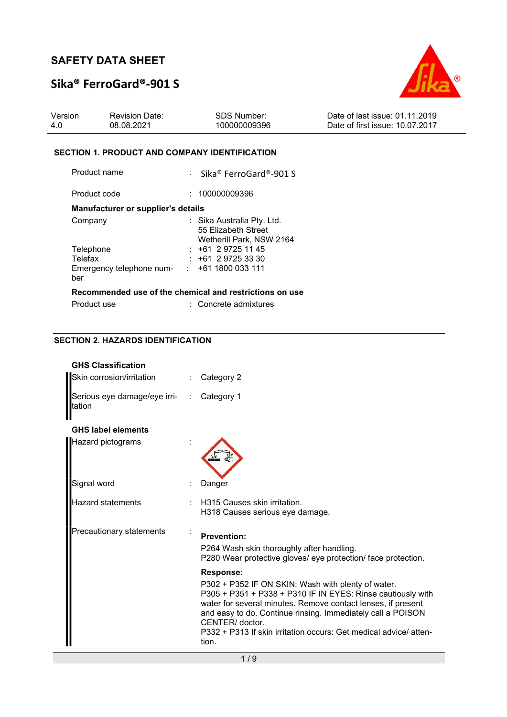# Sika® FerroGard®-901 S



| 08.08.2021<br>100000009396<br>4.0 | <b>Revision Date:</b> | Version | SDS Number: | Date of last issue: 01.11.2019  |  |
|-----------------------------------|-----------------------|---------|-------------|---------------------------------|--|
|                                   |                       |         |             | Date of first issue: 10.07.2017 |  |

### SECTION 1. PRODUCT AND COMPANY IDENTIFICATION

| Product name                                             | : Sika® FerroGard®-901 S                                                      |
|----------------------------------------------------------|-------------------------------------------------------------------------------|
| Product code                                             | : 100000009396                                                                |
| <b>Manufacturer or supplier's details</b>                |                                                                               |
| Company                                                  | : Sika Australia Pty. Ltd.<br>55 Elizabeth Street<br>Wetherill Park, NSW 2164 |
| Telephone                                                | $: +61297251145$                                                              |
| Telefax                                                  | $: +61297253330$                                                              |
| Emergency telephone num- $\cdot$ +61 1800 033 111<br>ber |                                                                               |
|                                                          | Recommended use of the chemical and restrictions on use                       |
| Product use                                              | : Concrete admixtures                                                         |

## SECTION 2. HAZARDS IDENTIFICATION

| <b>GHS Classification</b>                 |                                                                                                                                                                                                                                                                                                                                                               |
|-------------------------------------------|---------------------------------------------------------------------------------------------------------------------------------------------------------------------------------------------------------------------------------------------------------------------------------------------------------------------------------------------------------------|
| Skin corrosion/irritation                 | Category 2                                                                                                                                                                                                                                                                                                                                                    |
| Serious eye damage/eye irri- :<br>Itation | Category 1                                                                                                                                                                                                                                                                                                                                                    |
| <b>GHS label elements</b>                 |                                                                                                                                                                                                                                                                                                                                                               |
| <b>Hazard pictograms</b>                  |                                                                                                                                                                                                                                                                                                                                                               |
| Signal word                               | Danger                                                                                                                                                                                                                                                                                                                                                        |
| Hazard statements                         | <b>H315 Causes skin irritation.</b><br>H318 Causes serious eye damage.                                                                                                                                                                                                                                                                                        |
| Precautionary statements                  | <b>Prevention:</b><br>P264 Wash skin thoroughly after handling.<br>P280 Wear protective gloves/ eye protection/ face protection.                                                                                                                                                                                                                              |
|                                           | Response:<br>P302 + P352 IF ON SKIN: Wash with plenty of water.<br>P305 + P351 + P338 + P310 IF IN EYES: Rinse cautiously with<br>water for several minutes. Remove contact lenses, if present<br>and easy to do. Continue rinsing. Immediately call a POISON<br>CENTER/ doctor.<br>P332 + P313 If skin irritation occurs: Get medical advice/atten-<br>tion. |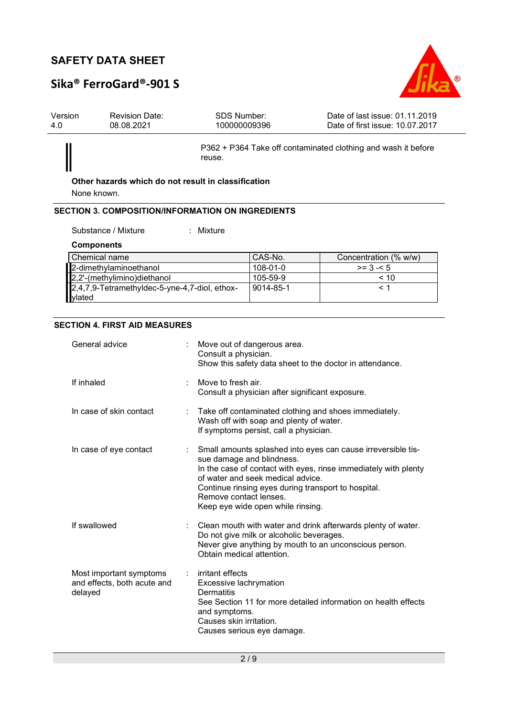# Sika® FerroGard®-901 S



| Version<br>4.0 | <b>Revision Date:</b><br>08.08.2021                 | SDS Number:<br>100000009396 | Date of last issue: 01.11.2019<br>Date of first issue: 10.07.2017 |
|----------------|-----------------------------------------------------|-----------------------------|-------------------------------------------------------------------|
|                |                                                     | reuse.                      | P362 + P364 Take off contaminated clothing and wash it before     |
|                | Other hazards which do not result in classification |                             |                                                                   |

None known.

#### SECTION 3. COMPOSITION/INFORMATION ON INGREDIENTS

#### Substance / Mixture : Mixture

**Components** 

| l Chemical name                               | CAS-No.   | Concentration (% w/w) |
|-----------------------------------------------|-----------|-----------------------|
| 2-dimethylaminoethanol                        | 108-01-0  | $>= 3 - 5$            |
| 2,2'-(methylimino)diethanol                   | 105-59-9  | < 10                  |
| 2,4,7,9-Tetramethyldec-5-yne-4,7-diol, ethox- | 9014-85-1 |                       |
| ylated                                        |           |                       |

#### SECTION 4. FIRST AID MEASURES

| General advice                                                    | Move out of dangerous area.<br>Consult a physician.<br>Show this safety data sheet to the doctor in attendance.                                                                                                                                                                                                         |
|-------------------------------------------------------------------|-------------------------------------------------------------------------------------------------------------------------------------------------------------------------------------------------------------------------------------------------------------------------------------------------------------------------|
| If inhaled                                                        | Move to fresh air.<br>Consult a physician after significant exposure.                                                                                                                                                                                                                                                   |
| In case of skin contact                                           | Take off contaminated clothing and shoes immediately.<br>Wash off with soap and plenty of water.<br>If symptoms persist, call a physician.                                                                                                                                                                              |
| In case of eye contact                                            | Small amounts splashed into eyes can cause irreversible tis-<br>sue damage and blindness.<br>In the case of contact with eyes, rinse immediately with plenty<br>of water and seek medical advice.<br>Continue rinsing eyes during transport to hospital.<br>Remove contact lenses.<br>Keep eye wide open while rinsing. |
| If swallowed                                                      | Clean mouth with water and drink afterwards plenty of water.<br>Do not give milk or alcoholic beverages.<br>Never give anything by mouth to an unconscious person.<br>Obtain medical attention.                                                                                                                         |
| Most important symptoms<br>and effects, both acute and<br>delayed | irritant effects<br>Excessive lachrymation<br><b>Dermatitis</b><br>See Section 11 for more detailed information on health effects<br>and symptoms.<br>Causes skin irritation.<br>Causes serious eye damage.                                                                                                             |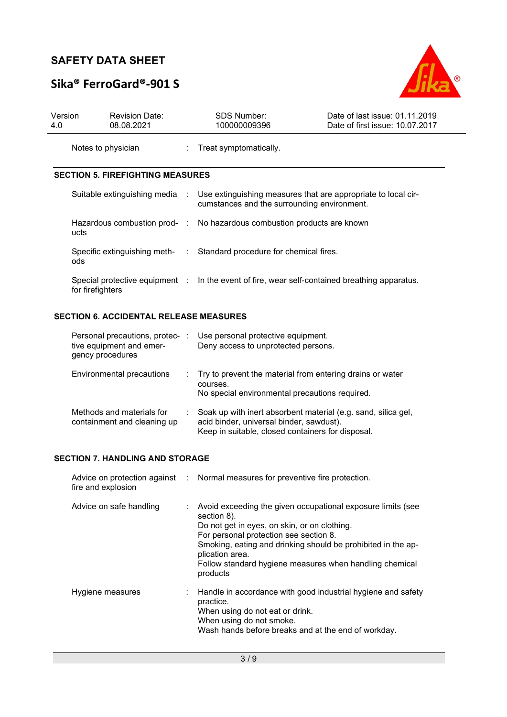# Sika® FerroGard®-901 S



| Version<br>4.0     | <b>Revision Date:</b><br>08.08.2021     | <b>SDS Number:</b><br>100000009396                                                                           | Date of last issue: 01.11.2019<br>Date of first issue: 10.07.2017 |
|--------------------|-----------------------------------------|--------------------------------------------------------------------------------------------------------------|-------------------------------------------------------------------|
| Notes to physician |                                         | : Treat symptomatically.                                                                                     |                                                                   |
|                    | <b>SECTION 5. FIREFIGHTING MEASURES</b> |                                                                                                              |                                                                   |
|                    | Suitable extinguishing media :          | Use extinguishing measures that are appropriate to local cir-<br>cumstances and the surrounding environment. |                                                                   |
|                    | ucts                                    | Hazardous combustion prod- : No hazardous combustion products are known                                      |                                                                   |
|                    | Specific extinguishing meth-<br>ods     | : Standard procedure for chemical fires.                                                                     |                                                                   |
|                    | for firefighters                        | Special protective equipment : ln the event of fire, wear self-contained breathing apparatus.                |                                                                   |

## SECTION 6. ACCIDENTAL RELEASE MEASURES

| Personal precautions, protec-<br>tive equipment and emer-<br>gency procedures | Use personal protective equipment.<br>Deny access to unprotected persons.                                                                                      |
|-------------------------------------------------------------------------------|----------------------------------------------------------------------------------------------------------------------------------------------------------------|
| Environmental precautions                                                     | : Try to prevent the material from entering drains or water<br>courses.<br>No special environmental precautions required.                                      |
| Methods and materials for<br>containment and cleaning up                      | Soak up with inert absorbent material (e.g. sand, silica gel,<br>acid binder, universal binder, sawdust).<br>Keep in suitable, closed containers for disposal. |

## SECTION 7. HANDLING AND STORAGE

| fire and explosion      | Advice on protection against : Normal measures for preventive fire protection.                                                                                                                                                                                                                                                 |
|-------------------------|--------------------------------------------------------------------------------------------------------------------------------------------------------------------------------------------------------------------------------------------------------------------------------------------------------------------------------|
| Advice on safe handling | Avoid exceeding the given occupational exposure limits (see<br>section 8).<br>Do not get in eyes, on skin, or on clothing.<br>For personal protection see section 8.<br>Smoking, eating and drinking should be prohibited in the ap-<br>plication area.<br>Follow standard hygiene measures when handling chemical<br>products |
| Hygiene measures        | : Handle in accordance with good industrial hygiene and safety<br>practice.<br>When using do not eat or drink.<br>When using do not smoke.<br>Wash hands before breaks and at the end of workday.                                                                                                                              |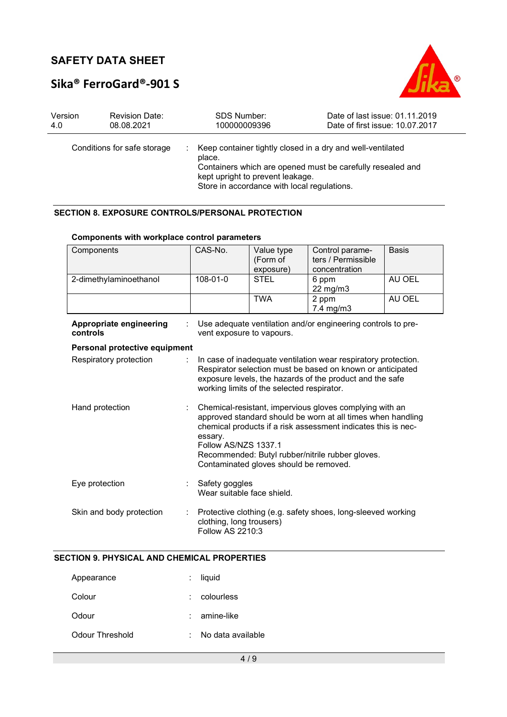# Sika® FerroGard®-901 S



| Version | <b>Revision Date:</b>       | <b>SDS Number:</b>                                                                        | Date of last issue: 01.11.2019                                                                                           |
|---------|-----------------------------|-------------------------------------------------------------------------------------------|--------------------------------------------------------------------------------------------------------------------------|
| 4.0     | 08.08.2021                  | 100000009396                                                                              | Date of first issue: 10.07.2017                                                                                          |
|         | Conditions for safe storage | place.<br>kept upright to prevent leakage.<br>Store in accordance with local regulations. | Keep container tightly closed in a dry and well-ventilated<br>Containers which are opened must be carefully resealed and |

## SECTION 8. EXPOSURE CONTROLS/PERSONAL PROTECTION

| Components                          | CAS-No.        |                                                                                                                                                                                                                                                                                                                          | Value type<br>(Form of<br>exposure)        | Control parame-<br>ters / Permissible<br>concentration                                                                                                                                   | <b>Basis</b> |
|-------------------------------------|----------------|--------------------------------------------------------------------------------------------------------------------------------------------------------------------------------------------------------------------------------------------------------------------------------------------------------------------------|--------------------------------------------|------------------------------------------------------------------------------------------------------------------------------------------------------------------------------------------|--------------|
| 2-dimethylaminoethanol              | $108 - 01 - 0$ |                                                                                                                                                                                                                                                                                                                          | <b>STEL</b>                                | 6 ppm<br>22 mg/m3                                                                                                                                                                        | AU OEL       |
|                                     |                |                                                                                                                                                                                                                                                                                                                          | <b>TWA</b>                                 | 2 ppm<br>7.4 mg/m3                                                                                                                                                                       | AU OEL       |
| Appropriate engineering<br>controls |                |                                                                                                                                                                                                                                                                                                                          | vent exposure to vapours.                  | Use adequate ventilation and/or engineering controls to pre-                                                                                                                             |              |
| Personal protective equipment       |                |                                                                                                                                                                                                                                                                                                                          |                                            |                                                                                                                                                                                          |              |
| Respiratory protection              |                |                                                                                                                                                                                                                                                                                                                          | working limits of the selected respirator. | In case of inadequate ventilation wear respiratory protection.<br>Respirator selection must be based on known or anticipated<br>exposure levels, the hazards of the product and the safe |              |
| Hand protection                     |                | Chemical-resistant, impervious gloves complying with an<br>approved standard should be worn at all times when handling<br>chemical products if a risk assessment indicates this is nec-<br>essary.<br>Follow AS/NZS 1337.1<br>Recommended: Butyl rubber/nitrile rubber gloves.<br>Contaminated gloves should be removed. |                                            |                                                                                                                                                                                          |              |
| Eye protection                      |                | Safety goggles                                                                                                                                                                                                                                                                                                           | Wear suitable face shield.                 |                                                                                                                                                                                          |              |
| Skin and body protection            |                | Follow AS 2210:3                                                                                                                                                                                                                                                                                                         | clothing, long trousers)                   | Protective clothing (e.g. safety shoes, long-sleeved working                                                                                                                             |              |

#### Components with workplace control parameters

## SECTION 9. PHYSICAL AND CHEMICAL PROPERTIES

| Appearance      | : liquid          |
|-----------------|-------------------|
| Colour          | colourless        |
| Odour           | $: a$ mine-like   |
| Odour Threshold | No data available |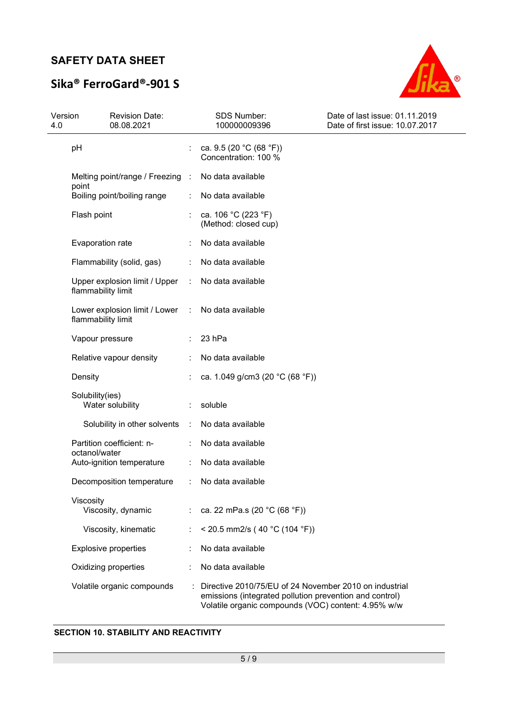# Sika® FerroGard®-901 S



| Version<br>4.0 |                    | <b>Revision Date:</b><br>08.08.2021 |                      | <b>SDS Number:</b><br>100000009396                                                                                                                                       | Date of last issue: 01.11.2019<br>Date of first issue: 10.07.2017 |
|----------------|--------------------|-------------------------------------|----------------------|--------------------------------------------------------------------------------------------------------------------------------------------------------------------------|-------------------------------------------------------------------|
|                | pH                 |                                     |                      | ca. $9.5(20 °C(68 °F))$<br>Concentration: 100 %                                                                                                                          |                                                                   |
|                | point              | Melting point/range / Freezing      | $\sim$               | No data available                                                                                                                                                        |                                                                   |
|                |                    | Boiling point/boiling range         |                      | No data available                                                                                                                                                        |                                                                   |
|                | Flash point        |                                     |                      | ca. 106 °C (223 °F)<br>(Method: closed cup)                                                                                                                              |                                                                   |
|                | Evaporation rate   |                                     |                      | No data available                                                                                                                                                        |                                                                   |
|                |                    | Flammability (solid, gas)           |                      | No data available                                                                                                                                                        |                                                                   |
|                | flammability limit | Upper explosion limit / Upper       |                      | No data available                                                                                                                                                        |                                                                   |
|                | flammability limit | Lower explosion limit / Lower       | $\ddot{\phantom{a}}$ | No data available                                                                                                                                                        |                                                                   |
|                | Vapour pressure    |                                     |                      | 23 hPa                                                                                                                                                                   |                                                                   |
|                |                    | Relative vapour density             |                      | No data available                                                                                                                                                        |                                                                   |
|                | Density            |                                     |                      | ca. 1.049 g/cm3 (20 °C (68 °F))                                                                                                                                          |                                                                   |
|                | Solubility(ies)    | Water solubility                    |                      | soluble                                                                                                                                                                  |                                                                   |
|                |                    | Solubility in other solvents        | $\ddot{\phantom{a}}$ | No data available                                                                                                                                                        |                                                                   |
|                | octanol/water      | Partition coefficient: n-           |                      | No data available                                                                                                                                                        |                                                                   |
|                |                    | Auto-ignition temperature           |                      | No data available                                                                                                                                                        |                                                                   |
|                |                    | Decomposition temperature           |                      | No data available                                                                                                                                                        |                                                                   |
|                | Viscosity          | Viscosity, dynamic                  |                      | ca. 22 mPa.s (20 °C (68 °F))                                                                                                                                             |                                                                   |
|                |                    | Viscosity, kinematic                | ÷.                   | < 20.5 mm2/s (40 °C (104 °F))                                                                                                                                            |                                                                   |
|                |                    | <b>Explosive properties</b>         |                      | No data available                                                                                                                                                        |                                                                   |
|                |                    | Oxidizing properties                |                      | No data available                                                                                                                                                        |                                                                   |
|                |                    | Volatile organic compounds          |                      | Directive 2010/75/EU of 24 November 2010 on industrial<br>emissions (integrated pollution prevention and control)<br>Volatile organic compounds (VOC) content: 4.95% w/w |                                                                   |

## SECTION 10. STABILITY AND REACTIVITY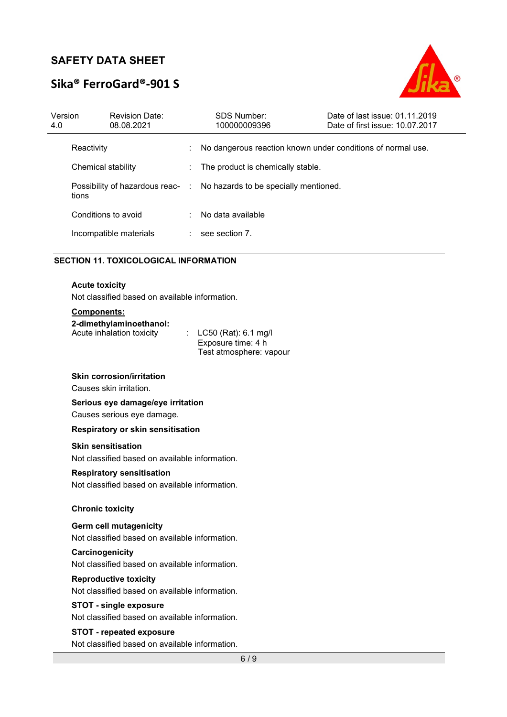# Sika® FerroGard®-901 S



| Version<br>4.0                            |                        | <b>Revision Date:</b><br>08.08.2021 |                                       | <b>SDS Number:</b><br>100000009396                          | Date of last issue: 01.11.2019<br>Date of first issue: 10.07.2017 |  |
|-------------------------------------------|------------------------|-------------------------------------|---------------------------------------|-------------------------------------------------------------|-------------------------------------------------------------------|--|
|                                           | Reactivity             |                                     | ÷                                     | No dangerous reaction known under conditions of normal use. |                                                                   |  |
|                                           | Chemical stability     |                                     | ÷                                     | The product is chemically stable.                           |                                                                   |  |
| Possibility of hazardous reac- :<br>tions |                        |                                     | No hazards to be specially mentioned. |                                                             |                                                                   |  |
|                                           | Conditions to avoid    |                                     |                                       | No data available                                           |                                                                   |  |
|                                           | Incompatible materials |                                     |                                       | see section 7.                                              |                                                                   |  |
|                                           |                        |                                     |                                       |                                                             |                                                                   |  |

#### SECTION 11. TOXICOLOGICAL INFORMATION

#### Acute toxicity

Not classified based on available information.

#### Components:

| 2-dimethylaminoethanol:   |  |                          |
|---------------------------|--|--------------------------|
| Acute inhalation toxicity |  | : $LC50$ (Rat): 6.1 mg/l |
|                           |  | Exposure time: 4 h       |
|                           |  | Test atmosphere: vapour  |

#### Skin corrosion/irritation

Causes skin irritation.

#### Serious eye damage/eye irritation

Causes serious eye damage.

#### Respiratory or skin sensitisation

#### Skin sensitisation

Not classified based on available information.

#### Respiratory sensitisation

Not classified based on available information.

#### Chronic toxicity

#### Germ cell mutagenicity

Not classified based on available information.

#### **Carcinogenicity**

Not classified based on available information.

#### Reproductive toxicity

Not classified based on available information.

### STOT - single exposure

Not classified based on available information.

## STOT - repeated exposure

Not classified based on available information.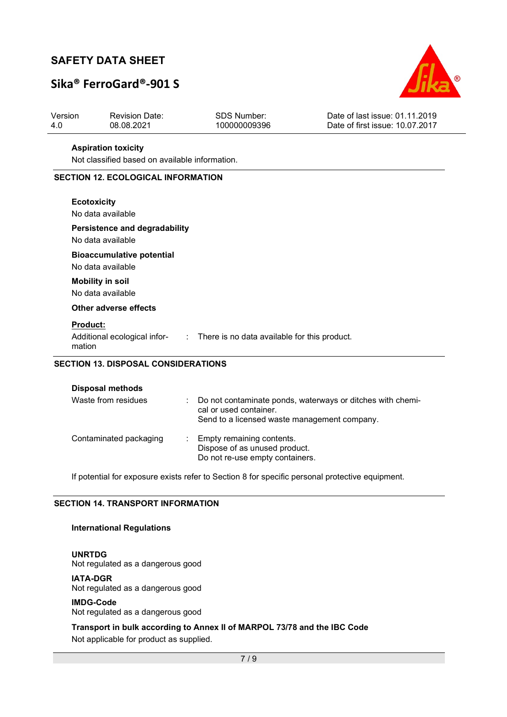# Sika® FerroGard®-901 S



| Version<br>4.0 | <b>Revision Date:</b><br>08.08.2021                | <b>SDS Number:</b><br>100000009396 | Date of last issue: 01.11.2019<br>Date of first issue: 10.07.2017 |
|----------------|----------------------------------------------------|------------------------------------|-------------------------------------------------------------------|
|                | <b>Aspiration toxicity</b>                         |                                    |                                                                   |
|                | Not classified based on available information.     |                                    |                                                                   |
|                | <b>SECTION 12. ECOLOGICAL INFORMATION</b>          |                                    |                                                                   |
|                | <b>Ecotoxicity</b><br>No data available            |                                    |                                                                   |
|                | Persistence and degradability<br>No data available |                                    |                                                                   |
|                | <b>Bioaccumulative potential</b>                   |                                    |                                                                   |
|                | No data available                                  |                                    |                                                                   |
|                | <b>Mobility in soil</b>                            |                                    |                                                                   |

No data available

#### Other adverse effects

#### Product:

Additional ecological infor-: There is no data available for this product. mation

#### SECTION 13. DISPOSAL CONSIDERATIONS

### Disposal methods

| Waste from residues    | t. | Do not contaminate ponds, waterways or ditches with chemi-<br>cal or used container.<br>Send to a licensed waste management company. |
|------------------------|----|--------------------------------------------------------------------------------------------------------------------------------------|
| Contaminated packaging |    | : Empty remaining contents.<br>Dispose of as unused product.<br>Do not re-use empty containers.                                      |

If potential for exposure exists refer to Section 8 for specific personal protective equipment.

#### SECTION 14. TRANSPORT INFORMATION

#### International Regulations

UNRTDG Not regulated as a dangerous good

#### IATA-DGR

Not regulated as a dangerous good

#### IMDG-Code

Not regulated as a dangerous good

### Transport in bulk according to Annex II of MARPOL 73/78 and the IBC Code

Not applicable for product as supplied.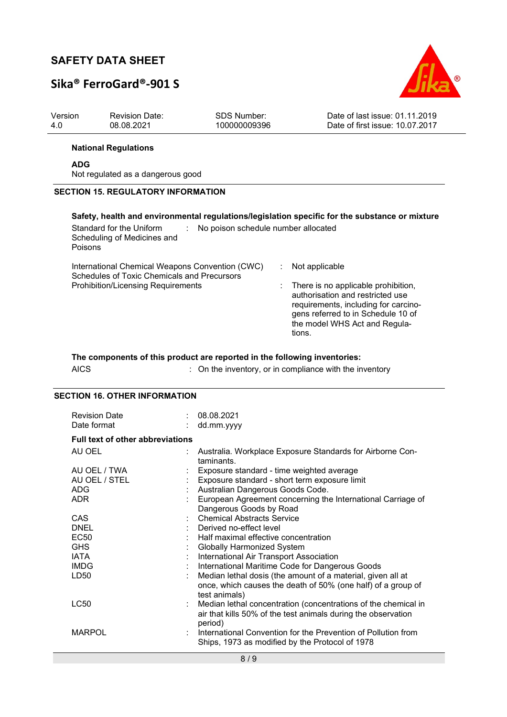# Sika® FerroGard®-901 S



| <b>Revision Date:</b><br>08.08.2021                                | <b>SDS Number:</b> |                                                                                                                                                                                                                                                     | Date of last issue: 01.11.2019<br>Date of first issue: 10.07.2017                                                                                                                                                  |
|--------------------------------------------------------------------|--------------------|-----------------------------------------------------------------------------------------------------------------------------------------------------------------------------------------------------------------------------------------------------|--------------------------------------------------------------------------------------------------------------------------------------------------------------------------------------------------------------------|
| <b>National Regulations</b>                                        |                    |                                                                                                                                                                                                                                                     |                                                                                                                                                                                                                    |
|                                                                    |                    |                                                                                                                                                                                                                                                     |                                                                                                                                                                                                                    |
|                                                                    |                    |                                                                                                                                                                                                                                                     |                                                                                                                                                                                                                    |
| Standard for the Uniform<br>Scheduling of Medicines and<br>Poisons |                    |                                                                                                                                                                                                                                                     |                                                                                                                                                                                                                    |
|                                                                    |                    |                                                                                                                                                                                                                                                     | Not applicable<br>There is no applicable prohibition,<br>authorisation and restricted use<br>requirements, including for carcino-<br>gens referred to in Schedule 10 of<br>the model WHS Act and Regula-<br>tions. |
|                                                                    |                    | 100000009396<br>Not regulated as a dangerous good<br><b>SECTION 15. REGULATORY INFORMATION</b><br>÷.<br>International Chemical Weapons Convention (CWC)<br>Schedules of Toxic Chemicals and Precursors<br><b>Prohibition/Licensing Requirements</b> | Safety, health and environmental regulations/legislation specific for the substance or mixture<br>No poison schedule number allocated                                                                              |

The components of this product are reported in the following inventories: AICS : On the inventory, or in compliance with the inventory

### SECTION 16. OTHER INFORMATION

| <b>Revision Date</b><br>Date format     |  | 08.08.2021<br>dd.mm.yyyy                                                                                                                     |  |  |
|-----------------------------------------|--|----------------------------------------------------------------------------------------------------------------------------------------------|--|--|
| <b>Full text of other abbreviations</b> |  |                                                                                                                                              |  |  |
| AU OEL                                  |  | Australia. Workplace Exposure Standards for Airborne Con-<br>taminants                                                                       |  |  |
| AU OEL / TWA                            |  | Exposure standard - time weighted average                                                                                                    |  |  |
| AU OEL / STEL                           |  | Exposure standard - short term exposure limit                                                                                                |  |  |
| <b>ADG</b>                              |  | Australian Dangerous Goods Code.                                                                                                             |  |  |
| <b>ADR</b>                              |  | European Agreement concerning the International Carriage of<br>Dangerous Goods by Road                                                       |  |  |
| <b>CAS</b>                              |  | <b>Chemical Abstracts Service</b>                                                                                                            |  |  |
| <b>DNEL</b>                             |  | Derived no-effect level                                                                                                                      |  |  |
| <b>EC50</b>                             |  | Half maximal effective concentration                                                                                                         |  |  |
| <b>GHS</b>                              |  | <b>Globally Harmonized System</b>                                                                                                            |  |  |
| <b>IATA</b>                             |  | International Air Transport Association                                                                                                      |  |  |
| <b>IMDG</b>                             |  | International Maritime Code for Dangerous Goods                                                                                              |  |  |
| LD50                                    |  | Median lethal dosis (the amount of a material, given all at<br>once, which causes the death of 50% (one half) of a group of<br>test animals) |  |  |
| LC50                                    |  | Median lethal concentration (concentrations of the chemical in<br>air that kills 50% of the test animals during the observation<br>period)   |  |  |
| <b>MARPOL</b>                           |  | International Convention for the Prevention of Pollution from<br>Ships, 1973 as modified by the Protocol of 1978                             |  |  |